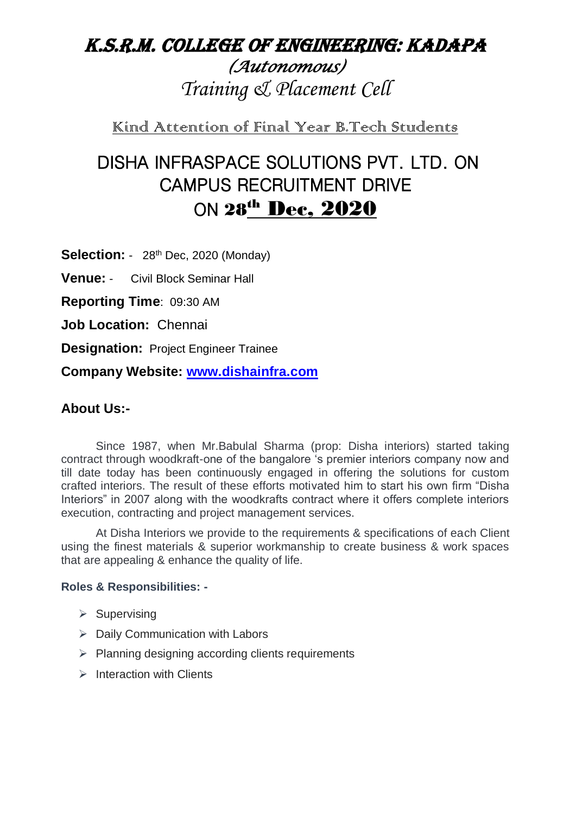## k.s.r.m. college of engineering: kadapa *(Autonomous) Training & Placement Cell*

Kind Attention of Final Year B.Tech Students

# DISHA INFRASPACE SOLUTIONS PVT. LTD. ON CAMPUS RECRUITMENT DRIVE ON 28<sup>th</sup> Dec, 2020

**Selection:** - 28<sup>th</sup> Dec, 2020 (Monday)

**Venue:** - Civil Block Seminar Hall

**Reporting Time**: 09:30 AM

**Job Location:** Chennai

**Designation:** Project Engineer Trainee

**Company Website: [www.dishainfra.com](http://www.dishainfra.com/)**

## **About Us:-**

Since 1987, when Mr.Babulal Sharma (prop: Disha interiors) started taking contract through woodkraft-one of the bangalore 's premier interiors company now and till date today has been continuously engaged in offering the solutions for custom crafted interiors. The result of these efforts motivated him to start his own firm "Disha Interiors" in 2007 along with the woodkrafts contract where it offers complete interiors execution, contracting and project management services.

At Disha Interiors we provide to the requirements & specifications of each Client using the finest materials & superior workmanship to create business & work spaces that are appealing & enhance the quality of life.

#### **Roles & Responsibilities: -**

- $\triangleright$  Supervising
- $\triangleright$  Daily Communication with Labors
- $\triangleright$  Planning designing according clients requirements
- $\triangleright$  Interaction with Clients